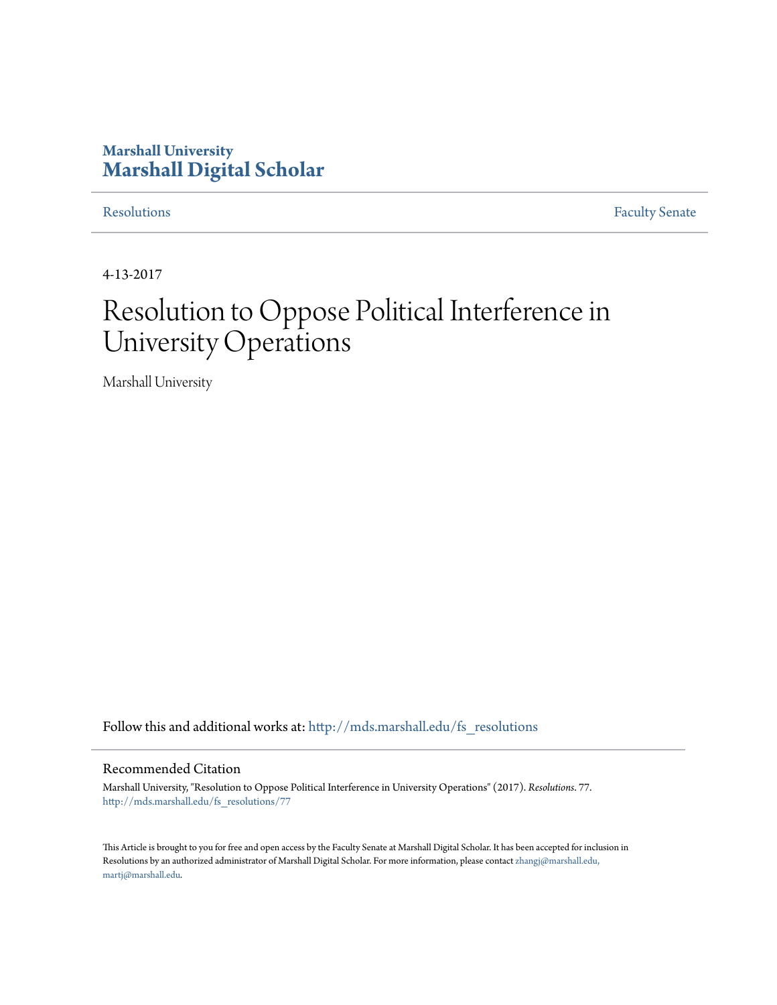## **Marshall University [Marshall Digital Scholar](http://mds.marshall.edu?utm_source=mds.marshall.edu%2Ffs_resolutions%2F77&utm_medium=PDF&utm_campaign=PDFCoverPages)**

[Resolutions](http://mds.marshall.edu/fs_resolutions?utm_source=mds.marshall.edu%2Ffs_resolutions%2F77&utm_medium=PDF&utm_campaign=PDFCoverPages) [Faculty Senate](http://mds.marshall.edu/fs?utm_source=mds.marshall.edu%2Ffs_resolutions%2F77&utm_medium=PDF&utm_campaign=PDFCoverPages)

4-13-2017

## Resolution to Oppose Political Interference in University Operations

Marshall University

Follow this and additional works at: [http://mds.marshall.edu/fs\\_resolutions](http://mds.marshall.edu/fs_resolutions?utm_source=mds.marshall.edu%2Ffs_resolutions%2F77&utm_medium=PDF&utm_campaign=PDFCoverPages)

## Recommended Citation

Marshall University, "Resolution to Oppose Political Interference in University Operations" (2017). *Resolutions*. 77. [http://mds.marshall.edu/fs\\_resolutions/77](http://mds.marshall.edu/fs_resolutions/77?utm_source=mds.marshall.edu%2Ffs_resolutions%2F77&utm_medium=PDF&utm_campaign=PDFCoverPages)

This Article is brought to you for free and open access by the Faculty Senate at Marshall Digital Scholar. It has been accepted for inclusion in Resolutions by an authorized administrator of Marshall Digital Scholar. For more information, please contact [zhangj@marshall.edu,](mailto:zhangj@marshall.edu,%20martj@marshall.edu) [martj@marshall.edu](mailto:zhangj@marshall.edu,%20martj@marshall.edu).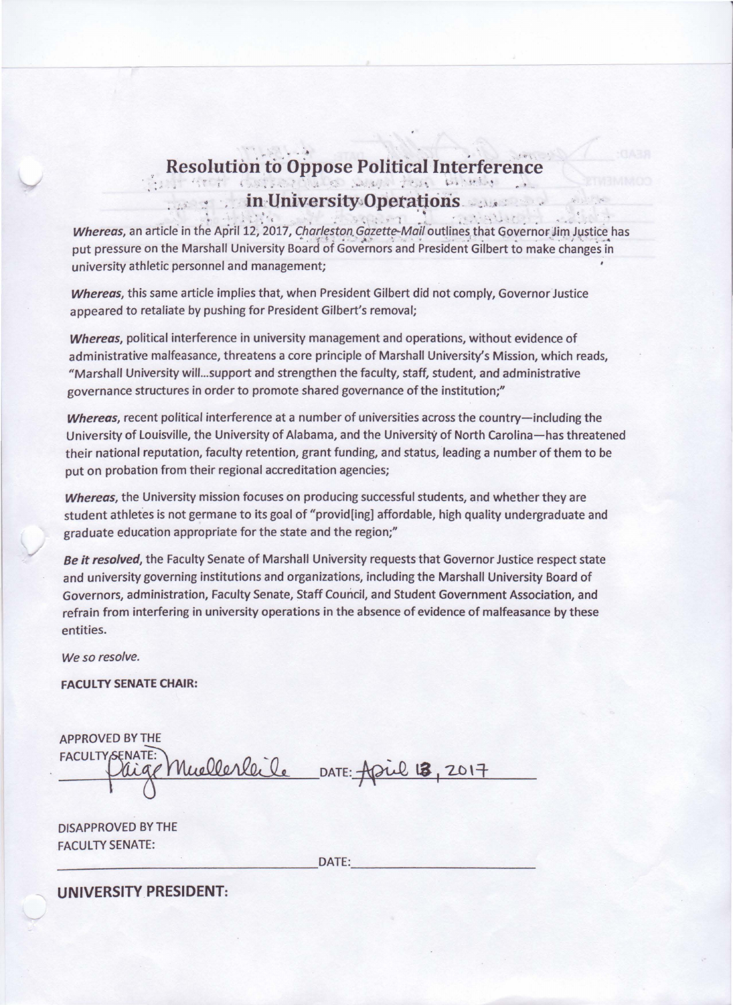## $\mathcal{L} = \mathcal{L} \mathcal{L} + \mathcal{L} \mathcal{L}$ **Resolution to Oppose Political Interference .... ... ... 7:0.112.21 / 7:0.12.21 / 7:0.12.21 / 7:0.12.21 / 7:0.12.21 / 7:0.12.21 / 7:0.12.21 / 7:0.12.21 / 7:0.12.21 / 7:0.12.21 / 7:0.12.21 / 7:0.12.21 / 7:0.12.21 / 7:0.12. in University Operations.**

. •• .\ : • ,·, ( " .. . .. ' . ? .. ~' . • *i* • t *:* • ~ -. .... • .. .. ... • ,. : ~ . • **Whereas,** an article in the April 12, 2017, Charleston Gazette-Mail outlines that Governor Jim Justice has '- ,<br>' put pressure on the Marshall University Board of Governors and President Gilbert to make changes in university athletic personnel and management;

**Whereas,** this same article implies that, when President Gilbert did not comply, Governor Justice appeared to retaliate by pushing for President Gilbert's removal;

**Whereas,** political interference in university management and operations, without evidence of administrative malfeasance, threatens a core principle of Marshall University's Mission, which reads, "Marshall University will... support and strengthen the faculty, staff, student, and administrative governance structures in order to promote shared governance of the institution;"

**Whereas,** recent political interference at a number of universities across the country-including the University of Louisville, the University of Alabama, and the University of North Carolina-has threatened their national reputation, faculty retention, grant funding, and status, leading a number of them to be put on probation from their regional accreditation agencies;

**Whereas,** the University mission focuses on producing successful students, and whether they are student athletes is not germane to its goal of "provid[ing] affordable, high quality undergraduate and graduate education appropriate for the state and the region;"

**Be** *it* **resolved,** the Faculty Senate of Marshall University requests that Governor Justice respect state and university governing institutions and organizations, including the Marshall University Board of Governors, administration, Faculty Senate, Staff Council, and Student Government Association, and refrain from interfering in university operations in the absence of evidence of malfeasance by these entities.

We so resolve.

/

**FACULTY SENATE CHAIR:** 

APPROVED BY THE FACULTY SENATE: Muellerleile DATE: April 13, 2017

DISAPPROVED BY THE FACULTY SENATE: \_\_\_\_\_\_\_\_\_\_\_\_\_\_\_\_\_ DATE: \_\_\_\_\_\_\_\_\_\_\_ \_

**UNIVERSITY PRESIDENT:**